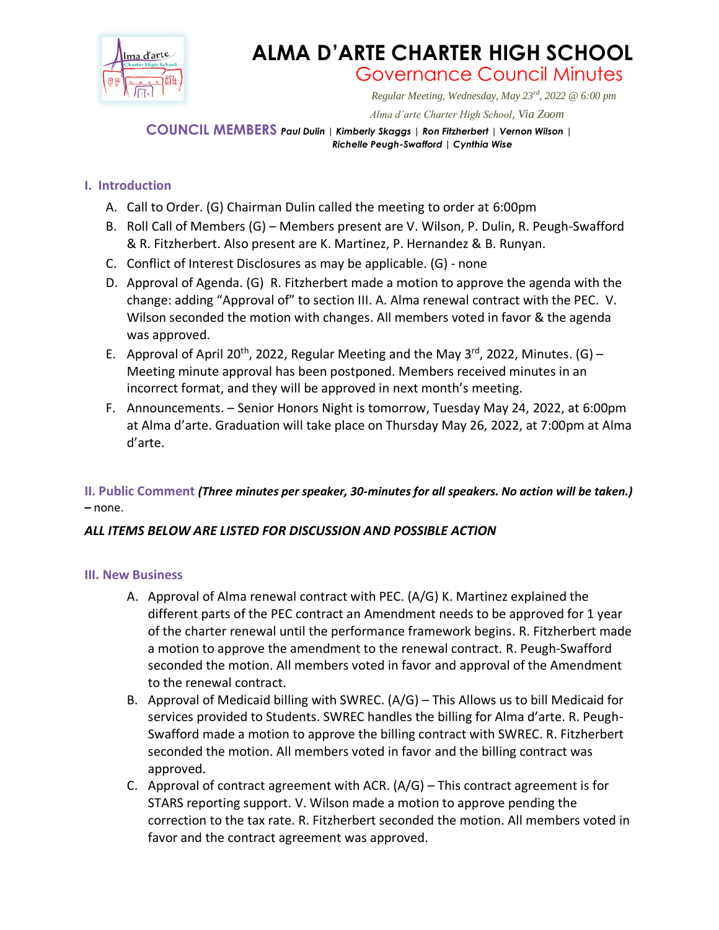

# **ALMA D'ARTE CHARTER HIGH SCHOOL** Governance Council Minutes

*Regular Meeting, Wednesday, May 23rd, 2022 @ 6:00 pm*

 *Alma d'arte Charter High School, Via Zoom*

**COUNCIL MEMBERS** *Paul Dulin | Kimberly Skaggs | Ron Fitzherbert <sup>|</sup> Vernon Wilson | Richelle Peugh-Swafford | Cynthia Wise*

## **I. Introduction**

- A. Call to Order. (G) Chairman Dulin called the meeting to order at 6:00pm
- B. Roll Call of Members (G) Members present are V. Wilson, P. Dulin, R. Peugh-Swafford & R. Fitzherbert. Also present are K. Martinez, P. Hernandez & B. Runyan.
- C. Conflict of Interest Disclosures as may be applicable. (G) none
- D. Approval of Agenda. (G) R. Fitzherbert made a motion to approve the agenda with the change: adding "Approval of" to section III. A. Alma renewal contract with the PEC. V. Wilson seconded the motion with changes. All members voted in favor & the agenda was approved.
- E. Approval of April 20<sup>th</sup>, 2022, Regular Meeting and the May 3<sup>rd</sup>, 2022, Minutes. (G) -Meeting minute approval has been postponed. Members received minutes in an incorrect format, and they will be approved in next month's meeting.
- F. Announcements. Senior Honors Night is tomorrow, Tuesday May 24, 2022, at 6:00pm at Alma d'arte. Graduation will take place on Thursday May 26, 2022, at 7:00pm at Alma d'arte.

### **II. Public Comment** *(Three minutes per speaker, 30-minutes for all speakers. No action will be taken.) –* none.

### *ALL ITEMS BELOW ARE LISTED FOR DISCUSSION AND POSSIBLE ACTION*

### **III. New Business**

- A. Approval of Alma renewal contract with PEC. (A/G) K. Martinez explained the different parts of the PEC contract an Amendment needs to be approved for 1 year of the charter renewal until the performance framework begins. R. Fitzherbert made a motion to approve the amendment to the renewal contract. R. Peugh-Swafford seconded the motion. All members voted in favor and approval of the Amendment to the renewal contract.
- B. Approval of Medicaid billing with SWREC. (A/G) This Allows us to bill Medicaid for services provided to Students. SWREC handles the billing for Alma d'arte. R. Peugh-Swafford made a motion to approve the billing contract with SWREC. R. Fitzherbert seconded the motion. All members voted in favor and the billing contract was approved.
- C. Approval of contract agreement with ACR.  $(A/G)$  This contract agreement is for STARS reporting support. V. Wilson made a motion to approve pending the correction to the tax rate. R. Fitzherbert seconded the motion. All members voted in favor and the contract agreement was approved.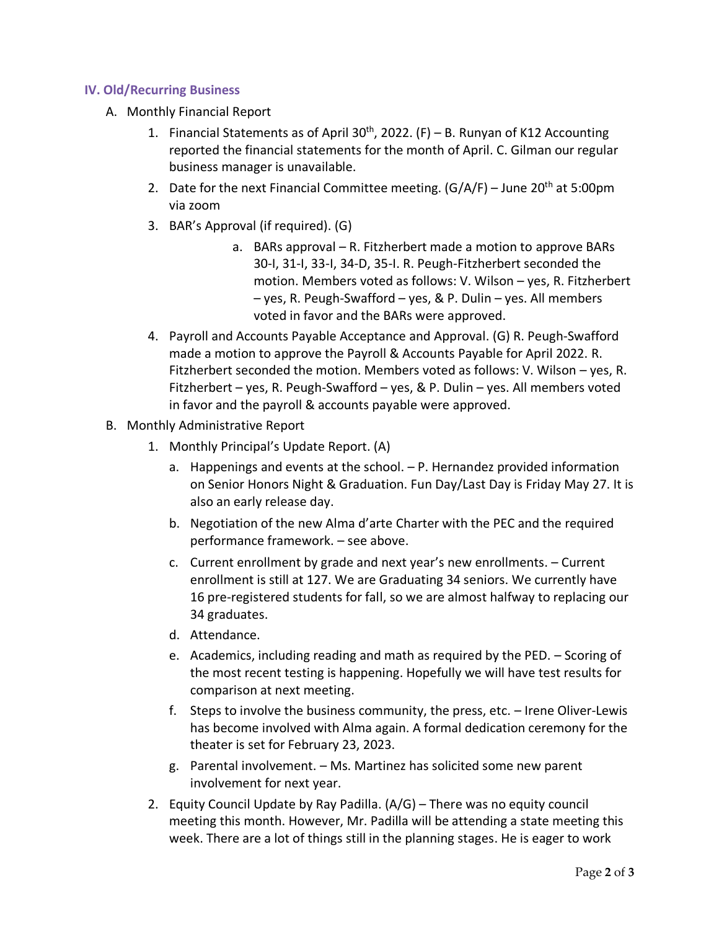#### **IV. Old/Recurring Business**

- A. Monthly Financial Report
	- 1. Financial Statements as of April  $30<sup>th</sup>$ , 2022. (F) B. Runyan of K12 Accounting reported the financial statements for the month of April. C. Gilman our regular business manager is unavailable.
	- 2. Date for the next Financial Committee meeting.  $(G/A/F)$  June 20<sup>th</sup> at 5:00pm via zoom
	- 3. BAR's Approval (if required). (G)
		- a. BARs approval R. Fitzherbert made a motion to approve BARs 30-I, 31-I, 33-I, 34-D, 35-I. R. Peugh-Fitzherbert seconded the motion. Members voted as follows: V. Wilson – yes, R. Fitzherbert – yes, R. Peugh-Swafford – yes, & P. Dulin – yes. All members voted in favor and the BARs were approved.
	- 4. Payroll and Accounts Payable Acceptance and Approval. (G) R. Peugh-Swafford made a motion to approve the Payroll & Accounts Payable for April 2022. R. Fitzherbert seconded the motion. Members voted as follows: V. Wilson – yes, R. Fitzherbert – yes, R. Peugh-Swafford – yes, & P. Dulin – yes. All members voted in favor and the payroll & accounts payable were approved.
- B. Monthly Administrative Report
	- 1. Monthly Principal's Update Report. (A)
		- a. Happenings and events at the school. P. Hernandez provided information on Senior Honors Night & Graduation. Fun Day/Last Day is Friday May 27. It is also an early release day.
		- b. Negotiation of the new Alma d'arte Charter with the PEC and the required performance framework. – see above.
		- c. Current enrollment by grade and next year's new enrollments. Current enrollment is still at 127. We are Graduating 34 seniors. We currently have 16 pre-registered students for fall, so we are almost halfway to replacing our 34 graduates.
		- d. Attendance.
		- e. Academics, including reading and math as required by the PED. Scoring of the most recent testing is happening. Hopefully we will have test results for comparison at next meeting.
		- f. Steps to involve the business community, the press, etc. Irene Oliver-Lewis has become involved with Alma again. A formal dedication ceremony for the theater is set for February 23, 2023.
		- g. Parental involvement. Ms. Martinez has solicited some new parent involvement for next year.
	- 2. Equity Council Update by Ray Padilla. (A/G) There was no equity council meeting this month. However, Mr. Padilla will be attending a state meeting this week. There are a lot of things still in the planning stages. He is eager to work